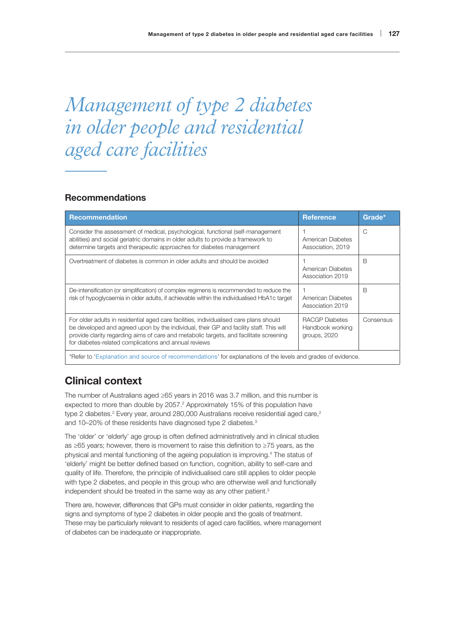# *Management of type 2 diabetes in older people and residential aged care facilities*

# Recommendations

| <b>Recommendation</b>                                                                                                                                                                                                                                                                                                               | <b>Reference</b>                                          | Grade*    |
|-------------------------------------------------------------------------------------------------------------------------------------------------------------------------------------------------------------------------------------------------------------------------------------------------------------------------------------|-----------------------------------------------------------|-----------|
| Consider the assessment of medical, psychological, functional (self-management<br>abilities) and social geriatric domains in older adults to provide a framework to<br>determine targets and therapeutic approaches for diabetes management                                                                                         | American Diabetes<br>Association, 2019                    | C         |
| Overtreatment of diabetes is common in older adults and should be avoided                                                                                                                                                                                                                                                           | American Diabetes<br>Association 2019                     | B         |
| De-intensification (or simplification) of complex regimens is recommended to reduce the<br>risk of hypoglycaemia in older adults, if achievable within the individualised HbA1c target                                                                                                                                              | American Diabetes<br>Association 2019                     | B         |
| For older adults in residential aged care facilities, individualised care plans should<br>be developed and agreed upon by the individual, their GP and facility staff. This will<br>provide clarity regarding aims of care and metabolic targets, and facilitate screening<br>for diabetes-related complications and annual reviews | <b>RACGP</b> Diabetes<br>Handbook working<br>groups, 2020 | Consensus |
| *Refer to 'Explanation and source of recommendations' for explanations of the levels and grades of evidence.                                                                                                                                                                                                                        |                                                           |           |

# Clinical context

The number of Australians aged ≥65 years in 2016 was 3.7 million, and this number is expected to more than double by  $2057<sup>2</sup>$  Approximately 15% of this population have type 2 diabetes.<sup>2</sup> Every year, around 280,000 Australians receive residential aged care,<sup>2</sup> and 10–20% of these residents have diagnosed type 2 diabetes.<sup>3</sup>

The 'older' or 'elderly' age group is often defined administratively and in clinical studies as ≥65 years; however, there is movement to raise this definition to ≥75 years, as the physical and mental functioning of the ageing population is improving.4 The status of 'elderly' might be better defined based on function, cognition, ability to self-care and quality of life. Therefore, the principle of individualised care still applies to older people with type 2 diabetes, and people in this group who are otherwise well and functionally independent should be treated in the same way as any other patient.<sup>5</sup>

There are, however, differences that GPs must consider in older patients, regarding the signs and symptoms of type 2 diabetes in older people and the goals of treatment. These may be particularly relevant to residents of aged care facilities, where management of diabetes can be inadequate or inappropriate.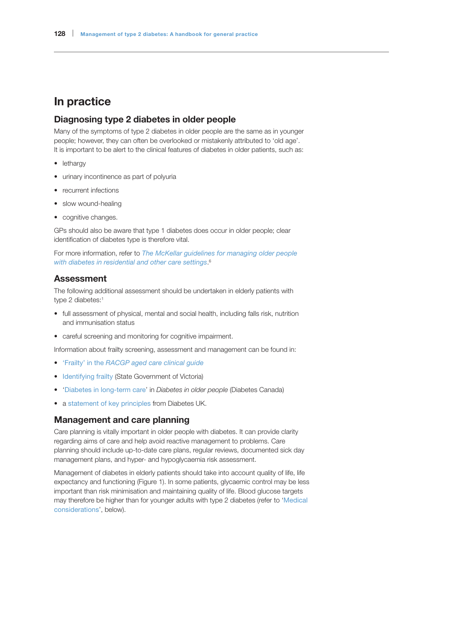# In practice

# Diagnosing type 2 diabetes in older people

Many of the symptoms of type 2 diabetes in older people are the same as in younger people; however, they can often be overlooked or mistakenly attributed to 'old age'. It is important to be alert to the clinical features of diabetes in older patients, such as:

- lethargy
- urinary incontinence as part of polyuria
- recurrent infections
- slow wound-healing
- cognitive changes.

GPs should also be aware that type 1 diabetes does occur in older people; clear identification of diabetes type is therefore vital.

For more information, refer to *[T](https://adma.org.au/download/the-mckellar-guidelines/)he [McKellar guidelines for managing older people](https://adma.org.au/download/the-mckellar-guidelines/)  [with diabetes in residential and other care settings](https://adma.org.au/download/the-mckellar-guidelines/)*. 6

# **Assessment**

The following additional assessment should be undertaken in elderly patients with type 2 diabetes:<sup>1</sup>

- full assessment of physical, mental and social health, including falls risk, nutrition and immunisation status
- careful screening and monitoring for cognitive impairment.

Information about frailty screening, assessment and management can be found in:

- 'Frailty' in the *[RACGP aged care clinical guide](https://www.racgp.org.au/clinical-resources/clinical-guidelines/key-racgp-guidelines/view-all-racgp-guidelines/silver-book/part-a/frailty)*
- [Identifying frailty](http://https://www2.health.vic.gov.au/hospitals-and-health-services/patient-care/older-people/frailty/frailty-identifying) (State Government of Victoria)
- '[Diabetes in long-term care](http://guidelines.diabetes.ca/Browse/Chapter37#sec6)' in *Diabetes in older people* (Diabetes Canada)
- a [statement of key principles](https://www.guidelines.co.uk/454600.article?utm_source=MGP%20Ltd&utm_medium=email&utm_campaign=10385201_20190319%20Guidelines%20highlights&dm_i=HEZ,66L9T,7SZLGH,OC3GB,1) from Diabetes UK.

### Management and care planning

Care planning is vitally important in older people with diabetes. It can provide clarity regarding aims of care and help avoid reactive management to problems. Care planning should include up-to-date care plans, regular reviews, documented sick day management plans, and hyper- and hypoglycaemia risk assessment.

Management of diabetes in elderly patients should take into account quality of life, life expectancy and functioning (Figure 1). In some patients, glycaemic control may be less important than risk minimisation and maintaining quality of life. Blood glucose targets may therefore be higher than for younger adults with type 2 diabetes (refer to '[Medical](#page-2-0)  [considerations](#page-2-0)', below).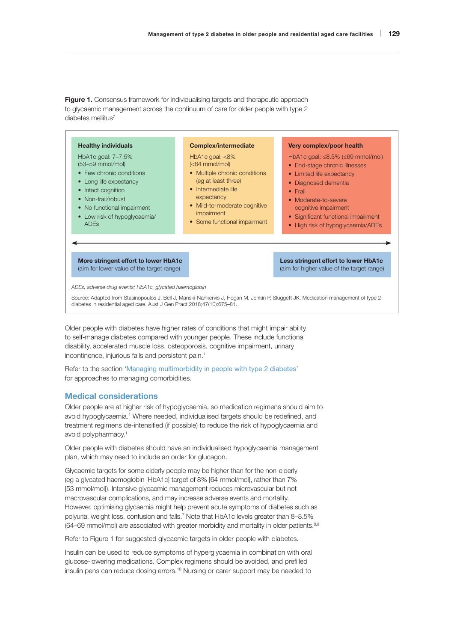**Figure 1.** Consensus framework for individualising targets and therapeutic approach to glycaemic management across the continuum of care for older people with type 2 diabetes mellitus<sup>7</sup>



Older people with diabetes have higher rates of conditions that might impair ability to self-manage diabetes compared with younger people. These include functional disability, accelerated muscle loss, osteoporosis, cognitive impairment, urinary incontinence, injurious falls and persistent pain.<sup>1</sup>

Refer to the section 'Managing multimorbidity in people with type 2 diabetes' for approaches to managing comorbidities.

# <span id="page-2-0"></span>Medical considerations

Older people are at higher risk of hypoglycaemia, so medication regimens should aim to avoid hypoglycaemia.<sup>1</sup> Where needed, individualised targets should be redefined, and treatment regimens de-intensified (if possible) to reduce the risk of hypoglycaemia and avoid polypharmacy.1

Older people with diabetes should have an individualised hypoglycaemia management plan, which may need to include an order for glucagon.

Glycaemic targets for some elderly people may be higher than for the non-elderly (eg a glycated haemoglobin [HbA1c] target of 8% [64 mmol/mol], rather than 7% [53 mmol/mol]). Intensive glycaemic management reduces microvascular but not macrovascular complications, and may increase adverse events and mortality. However, optimising glycaemia might help prevent acute symptoms of diabetes such as polyuria, weight loss, confusion and falls.7 Note that HbA1c levels greater than 8–8.5% (64–69 mmol/mol) are associated with greater morbidity and mortality in older patients.<sup>8,9</sup>

Refer to Figure 1 for suggested glycaemic targets in older people with diabetes.

Insulin can be used to reduce symptoms of hyperglycaemia in combination with oral glucose-lowering medications. Complex regimens should be avoided, and prefilled insulin pens can reduce dosing errors.10 Nursing or carer support may be needed to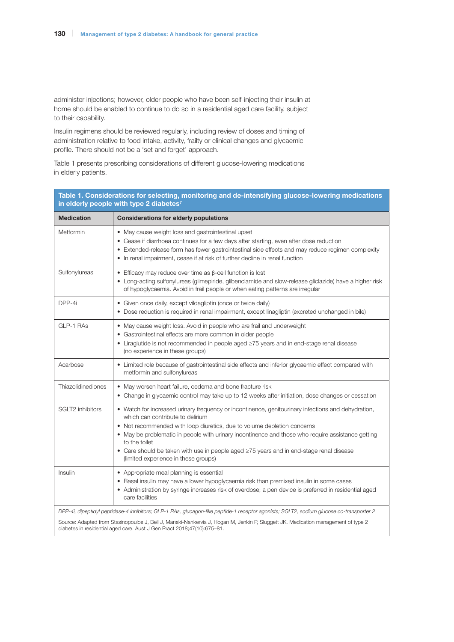administer injections; however, older people who have been self-injecting their insulin at home should be enabled to continue to do so in a residential aged care facility, subject to their capability.

Insulin regimens should be reviewed regularly, including review of doses and timing of administration relative to food intake, activity, frailty or clinical changes and glycaemic profile. There should not be a 'set and forget' approach.

Table 1 presents prescribing considerations of different glucose-lowering medications in elderly patients.

| Table 1. Considerations for selecting, monitoring and de-intensifying glucose-lowering medications<br>in elderly people with type 2 diabetes <sup>7</sup> |                                                                                                                                                                                                                                                                                                                                                                                                                                                                                  |  |
|-----------------------------------------------------------------------------------------------------------------------------------------------------------|----------------------------------------------------------------------------------------------------------------------------------------------------------------------------------------------------------------------------------------------------------------------------------------------------------------------------------------------------------------------------------------------------------------------------------------------------------------------------------|--|
| <b>Medication</b>                                                                                                                                         | <b>Considerations for elderly populations</b>                                                                                                                                                                                                                                                                                                                                                                                                                                    |  |
| Metformin                                                                                                                                                 | • May cause weight loss and gastrointestinal upset<br>• Cease if diarrhoea continues for a few days after starting, even after dose reduction<br>• Extended-release form has fewer gastrointestinal side effects and may reduce regimen complexity<br>• In renal impairment, cease if at risk of further decline in renal function                                                                                                                                               |  |
| Sulfonylureas                                                                                                                                             | $\bullet$ Efficacy may reduce over time as $\beta$ -cell function is lost<br>• Long-acting sulfonylureas (glimepiride, glibenclamide and slow-release gliclazide) have a higher risk<br>of hypoglycaemia. Avoid in frail people or when eating patterns are irregular                                                                                                                                                                                                            |  |
| DPP-4i                                                                                                                                                    | • Given once daily, except vildagliptin (once or twice daily)<br>• Dose reduction is required in renal impairment, except linagliptin (excreted unchanged in bile)                                                                                                                                                                                                                                                                                                               |  |
| GLP-1 RAs                                                                                                                                                 | • May cause weight loss. Avoid in people who are frail and underweight<br>• Gastrointestinal effects are more common in older people<br>• Liraglutide is not recommended in people aged $\geq 75$ years and in end-stage renal disease<br>(no experience in these groups)                                                                                                                                                                                                        |  |
| Acarbose                                                                                                                                                  | • Limited role because of gastrointestinal side effects and inferior glycaemic effect compared with<br>metformin and sulfonylureas                                                                                                                                                                                                                                                                                                                                               |  |
| Thiazolidinediones                                                                                                                                        | • May worsen heart failure, oedema and bone fracture risk<br>• Change in glycaemic control may take up to 12 weeks after initiation, dose changes or cessation                                                                                                                                                                                                                                                                                                                   |  |
| <b>SGLT2</b> inhibitors                                                                                                                                   | • Watch for increased urinary frequency or incontinence, genitourinary infections and dehydration,<br>which can contribute to delirium<br>• Not recommended with loop diuretics, due to volume depletion concerns<br>• May be problematic in people with urinary incontinence and those who require assistance getting<br>to the toilet<br>• Care should be taken with use in people aged $\geq$ 75 years and in end-stage renal disease<br>(limited experience in these groups) |  |
| Insulin                                                                                                                                                   | • Appropriate meal planning is essential<br>• Basal insulin may have a lower hypoglycaemia risk than premixed insulin in some cases<br>• Administration by syringe increases risk of overdose; a pen device is preferred in residential aged<br>care facilities                                                                                                                                                                                                                  |  |
|                                                                                                                                                           | DPP-4i, dipeptidyl peptidase-4 inhibitors; GLP-1 RAs, glucagon-like peptide-1 receptor agonists; SGLT2, sodium glucose co-transporter 2<br>Source: Adapted from Stasinopoulos J, Bell J, Manski-Nankervis J, Hogan M, Jenkin P, Sluggett JK. Medication management of type 2<br>diabetes in residential aged care. Aust J Gen Pract 2018;47(10):675-81.                                                                                                                          |  |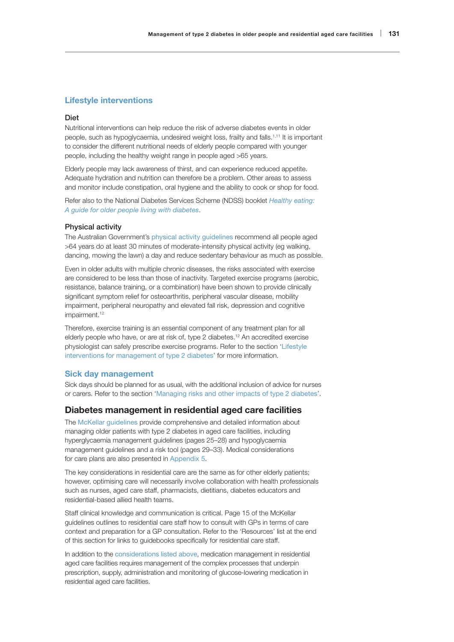### Lifestyle interventions

#### Diet

Nutritional interventions can help reduce the risk of adverse diabetes events in older people, such as hypoglycaemia, undesired weight loss, frailty and falls.1,11 It is important to consider the different nutritional needs of elderly people compared with younger people, including the healthy weight range in people aged >65 years.

Elderly people may lack awareness of thirst, and can experience reduced appetite. Adequate hydration and nutrition can therefore be a problem. Other areas to assess and monitor include constipation, oral hygiene and the ability to cook or shop for food.

Refer also to the National Diabetes Services Scheme (NDSS) booklet *[Healthy eating:](https://www.ndss.com.au/living-with-diabetes/about-you/older-people/)  [A guide for older people living with diabetes](https://www.ndss.com.au/living-with-diabetes/about-you/older-people/)*.

#### Physical activity

The Australian Government's [physical activity guidelines](https://www1.health.gov.au/internet/main/publishing.nsf/Content/health-pubhlth-strateg-phys-act-guidelines#npa%2065) recommend all people aged >64 years do at least 30 minutes of moderate-intensity physical activity (eg walking, dancing, mowing the lawn) a day and reduce sedentary behaviour as much as possible.

Even in older adults with multiple chronic diseases, the risks associated with exercise are considered to be less than those of inactivity. Targeted exercise programs (aerobic, resistance, balance training, or a combination) have been shown to provide clinically significant symptom relief for osteoarthritis, peripheral vascular disease, mobility impairment, peripheral neuropathy and elevated fall risk, depression and cognitive impairment.<sup>12</sup>

Therefore, exercise training is an essential component of any treatment plan for all elderly people who have, or are at risk of, type 2 diabetes.<sup>12</sup> An accredited exercise physiologist can safely prescribe exercise programs. Refer to the section 'Lifestyle interventions for management of type 2 diabetes' for more information.

#### Sick day management

Sick days should be planned for as usual, with the additional inclusion of advice for nurses or carers. Refer to the section 'Managing risks and other impacts of type 2 diabetes'.

### Diabetes management in residential aged care facilities

The [McKellar guidelines](https://adma.org.au/download/the-mckellar-guidelines/) provide comprehensive and detailed information about managing older patients with type 2 diabetes in aged care facilities, including hyperglycaemia management guidelines (pages 25–28) and hypoglycaemia management guidelines and a risk tool (pages 29–33). Medical considerations for care plans are also presented in Appendix 5.

The key considerations in residential care are the same as for other elderly patients; however, optimising care will necessarily involve collaboration with health professionals such as nurses, aged care staff, pharmacists, dietitians, diabetes educators and residential-based allied health teams.

Staff clinical knowledge and communication is critical. Page 15 of the McKellar guidelines outlines to residential care staff how to consult with GPs in terms of care context and preparation for a GP consultation. Refer to the 'Resources' list at the end of this section for links to guidebooks specifically for residential care staff.

In addition to the [considerations listed above](#page-2-0), medication management in residential aged care facilities requires management of the complex processes that underpin prescription, supply, administration and monitoring of glucose-lowering medication in residential aged care facilities.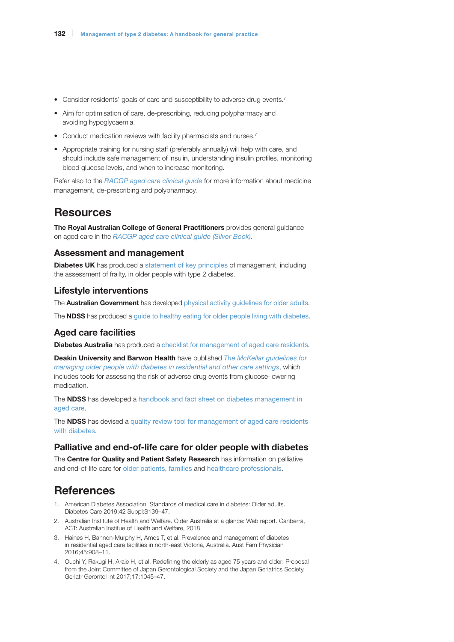- Consider residents' goals of care and susceptibility to adverse drug events.<sup>7</sup>
- Aim for optimisation of care, de-prescribing, reducing polypharmacy and avoiding hypoglycaemia[.](https://www1.racgp.org.au/ajgp/2018/october/medication-management-of-type-2-diabetes#ref-num-4)
- Conduct medication reviews with facility pharmacists and nurses.<sup>7</sup>
- Appropriate training for nursing staff (preferably annually) will help with care, and should include safe management of insulin, understanding insulin profiles, monitoring blood glucose levels, and when to increase monitoring.

Refer also to the *[RACGP aged care clinical guide](https://www.racgp.org.au/silverbook)* for more information about medicine management, de-prescribing and polypharmacy.

# **Resources**

The Royal Australian College of General Practitioners provides general guidance on aged care in the *[RACGP aged care clinical guide \(Silver Book\)](https://www.racgp.org.au/silverbook)*.

# Assessment and management

**Diabetes UK** has produced a [statement of key principles](https://www.guidelines.co.uk/454600.article?utm_source=MGP%20Ltd&utm_medium=email&utm_campaign=10385201_20190319%20Guidelines%20highlights&dm_i=HEZ,66L9T,7SZLGH,OC3GB,1) of management, including the assessment of frailty, in older people with type 2 diabetes.

### Lifestyle interventions

The **Australian Government** has developed [physical activity guidelines for older adults](https://www.healthdirect.gov.au/physical-activity-guidelines-for-older-adults).

The **NDSS** has produced a [guide to healthy eating for older people living with diabetes](https://www.ndss.com.au/living-with-diabetes/about-you/older-people/).

# Aged care facilities

Diabetes Australia has produced a [checklist for management of aged care residents](https://static.diabetesaustralia.com.au/s/fileassets/diabetes-australia/81e7639f-0d20-4461-b0c8-c3be51cbe7ce.pdf).

Deakin University and Barwon Health have published *[The McKellar guidelines for](https://adma.org.au/download/the-mckellar-guidelines/)  [managing older people with diabetes in residential and other care settings](https://adma.org.au/download/the-mckellar-guidelines/)*, which includes tools for assessing the risk of adverse drug events from glucose-lowering medication.

The **NDSS** has developed a handbook and fact sheet on diabetes management in [aged care](https://www.ndss.com.au/about-diabetes/resources/find-a-resource/diabetes-management-in-aged-care/#facts).

The **NDSS** has devised a quality review tool for management of aged care residents [with diabetes](https://www.ndss.com.au/wp-content/uploads/resources/aged-care-quality-review-tool-management-of-residents-with-diabetes.pdf).

# Palliative and end-of-life care for older people with diabetes

The Centre for Quality and Patient Safety Research has information on palliative and end-of-life care for [older patients](https://www.dropbox.com/s/ypmfadvgeqvijfe/Information-to-help-older-people.pdf?dl=0), [families](https://www.dropbox.com/s/u5absf19uv01kmx/Information-to-help-family.pdf?dl=0) and [healthcare professionals](https://www.dropbox.com/s/ubjazs6z6rsoq4l/Information-for-HPs.pdf?dl=0).

# **References**

- 1. American Diabetes Association. Standards of medical care in diabetes: Older adults. Diabetes Care 2019;42 Suppl:S139–47.
- 2. Australian Institute of Health and Welfare. Older Australia at a glance: Web report. Canberra, ACT: Australian Institue of Health and Welfare, 2018.
- 3. Haines H, Bannon-Murphy H, Amos T, et al. Prevalence and management of diabetes in residential aged care facilities in north-east Victoria, Australia. Aust Fam Physician 2016;45:908–11.
- 4. Ouchi Y, Rakugi H, Araie H, et al. Redefining the elderly as aged 75 years and older: Proposal from the Joint Committee of Japan Gerontological Society and the Japan Geriatrics Society. Geriatr Gerontol Int 2017;17:1045–47.